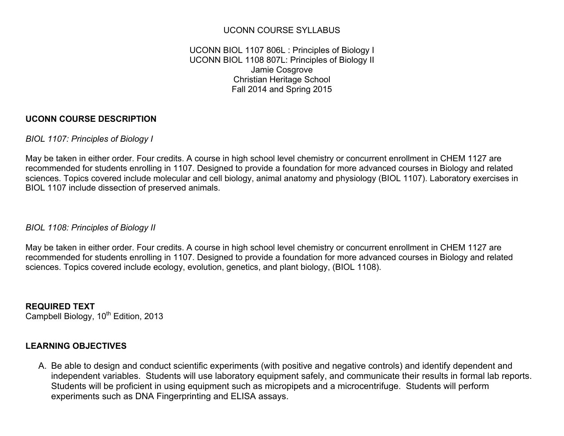# UCONN COURSE SYLLABUS

### UCONN BIOL 1107 806L : Principles of Biology I UCONN BIOL 1108 807L: Principles of Biology II Jamie Cosgrove Christian Heritage School Fall 2014 and Spring 2015

# **UCONN COURSE DESCRIPTION**

#### *BIOL 1107: Principles of Biology I*

May be taken in either order. Four credits. A course in high school level chemistry or concurrent enrollment in CHEM 1127 are recommended for students enrolling in 1107. Designed to provide a foundation for more advanced courses in Biology and related sciences. Topics covered include molecular and cell biology, animal anatomy and physiology (BIOL 1107). Laboratory exercises in BIOL 1107 include dissection of preserved animals.

### *BIOL 1108: Principles of Biology II*

May be taken in either order. Four credits. A course in high school level chemistry or concurrent enrollment in CHEM 1127 are recommended for students enrolling in 1107. Designed to provide a foundation for more advanced courses in Biology and related sciences. Topics covered include ecology, evolution, genetics, and plant biology, (BIOL 1108).

**REQUIRED TEXT** Campbell Biology, 10<sup>th</sup> Edition, 2013

### **LEARNING OBJECTIVES**

A. Be able to design and conduct scientific experiments (with positive and negative controls) and identify dependent and independent variables. Students will use laboratory equipment safely, and communicate their results in formal lab reports. Students will be proficient in using equipment such as micropipets and a microcentrifuge. Students will perform experiments such as DNA Fingerprinting and ELISA assays.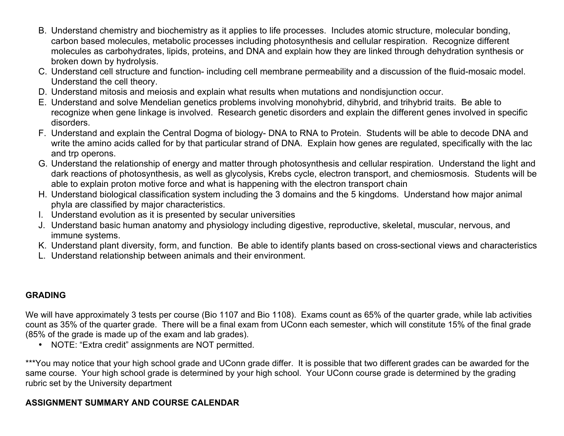- B. Understand chemistry and biochemistry as it applies to life processes. Includes atomic structure, molecular bonding, carbon based molecules, metabolic processes including photosynthesis and cellular respiration. Recognize different molecules as carbohydrates, lipids, proteins, and DNA and explain how they are linked through dehydration synthesis or broken down by hydrolysis.
- C. Understand cell structure and function- including cell membrane permeability and a discussion of the fluid-mosaic model. Understand the cell theory.
- D. Understand mitosis and meiosis and explain what results when mutations and nondisjunction occur.
- E. Understand and solve Mendelian genetics problems involving monohybrid, dihybrid, and trihybrid traits. Be able to recognize when gene linkage is involved. Research genetic disorders and explain the different genes involved in specific disorders.
- F. Understand and explain the Central Dogma of biology- DNA to RNA to Protein. Students will be able to decode DNA and write the amino acids called for by that particular strand of DNA. Explain how genes are regulated, specifically with the lac and trp operons.
- G. Understand the relationship of energy and matter through photosynthesis and cellular respiration. Understand the light and dark reactions of photosynthesis, as well as glycolysis, Krebs cycle, electron transport, and chemiosmosis. Students will be able to explain proton motive force and what is happening with the electron transport chain
- H. Understand biological classification system including the 3 domains and the 5 kingdoms. Understand how major animal phyla are classified by major characteristics.
- I. Understand evolution as it is presented by secular universities
- J. Understand basic human anatomy and physiology including digestive, reproductive, skeletal, muscular, nervous, and immune systems.
- K. Understand plant diversity, form, and function. Be able to identify plants based on cross-sectional views and characteristics
- L. Understand relationship between animals and their environment.

# **GRADING**

We will have approximately 3 tests per course (Bio 1107 and Bio 1108). Exams count as 65% of the quarter grade, while lab activities count as 35% of the quarter grade. There will be a final exam from UConn each semester, which will constitute 15% of the final grade (85% of the grade is made up of the exam and lab grades).

• NOTE: "Extra credit" assignments are NOT permitted.

\*\*\*You may notice that your high school grade and UConn grade differ. It is possible that two different grades can be awarded for the same course. Your high school grade is determined by your high school. Your UConn course grade is determined by the grading rubric set by the University department

# **ASSIGNMENT SUMMARY AND COURSE CALENDAR**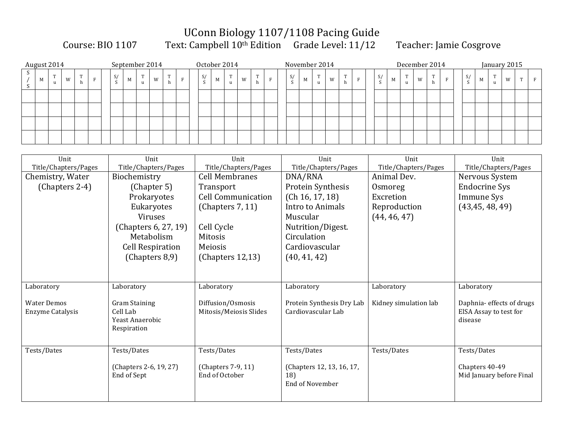# UConn Biology 1107/1108 Pacing Guide

Course: BIO 1107 Text: Campbell 10<sup>th</sup> Edition Grade Level: 11/12 Teacher: Jamie Cosgrove

| August 2014 |   |                   |   |  |              | September 2014 |                  |   |                     |              |               | October 2014 |    |   |   |  |    | November 2014 |                   |   |  |    |   | December 2014     |   |   | January 2015 |    |   |  |   |  |  |  |
|-------------|---|-------------------|---|--|--------------|----------------|------------------|---|---------------------|--------------|---------------|--------------|----|---|---|--|----|---------------|-------------------|---|--|----|---|-------------------|---|---|--------------|----|---|--|---|--|--|--|
|             | M | m<br>$\mathbf{u}$ | W |  | S/<br>$\sim$ | M              | <b>CONTINUES</b> | W | nn.<br>$\mathbf{r}$ | $\mathbf{E}$ | $\frac{S}{c}$ | $\mathbf M$  | m. | W | h |  | S/ | M             | <b>CONTRACTOR</b> | W |  | S/ | M | <b>CONTRACTOR</b> | W | m |              | S/ | M |  | W |  |  |  |
|             |   |                   |   |  |              |                |                  |   |                     |              |               |              |    |   |   |  |    |               |                   |   |  |    |   |                   |   |   |              |    |   |  |   |  |  |  |
|             |   |                   |   |  |              |                |                  |   |                     |              |               |              |    |   |   |  |    |               |                   |   |  |    |   |                   |   |   |              |    |   |  |   |  |  |  |
|             |   |                   |   |  |              |                |                  |   |                     |              |               |              |    |   |   |  |    |               |                   |   |  |    |   |                   |   |   |              |    |   |  |   |  |  |  |
|             |   |                   |   |  |              |                |                  |   |                     |              |               |              |    |   |   |  |    |               |                   |   |  |    |   |                   |   |   |              |    |   |  |   |  |  |  |

| Unit                    | Unit                                  | Unit                      | Unit                      | Unit                  | Unit                      |
|-------------------------|---------------------------------------|---------------------------|---------------------------|-----------------------|---------------------------|
| Title/Chapters/Pages    | Title/Chapters/Pages                  | Title/Chapters/Pages      | Title/Chapters/Pages      | Title/Chapters/Pages  | Title/Chapters/Pages      |
| Chemistry, Water        | Biochemistry                          | <b>Cell Membranes</b>     | DNA/RNA                   | Animal Dev.           | Nervous System            |
| (Chapters 2-4)          | (Chapter 5)                           | Transport                 | Protein Synthesis         | Osmoreg               | <b>Endocrine Sys</b>      |
|                         | Prokaryotes                           | <b>Cell Communication</b> | (Ch 16, 17, 18)           | Excretion             | Immune Sys                |
|                         | Eukaryotes                            | (Chapters $7, 11$ )       | Intro to Animals          | Reproduction          | (43, 45, 48, 49)          |
|                         | Viruses                               |                           | Muscular                  | (44, 46, 47)          |                           |
|                         | (Chapters 6, 27, 19)                  | Cell Cycle                | Nutrition/Digest.         |                       |                           |
|                         | Metabolism                            | <b>Mitosis</b>            | Circulation               |                       |                           |
|                         | <b>Cell Respiration</b>               | Meiosis                   | Cardiovascular            |                       |                           |
|                         | (Chapters 8,9)                        | (Chapters 12, 13)         | (40, 41, 42)              |                       |                           |
|                         |                                       |                           |                           |                       |                           |
|                         |                                       |                           |                           |                       |                           |
| Laboratory              | Laboratory                            | Laboratory                | Laboratory                | Laboratory            | Laboratory                |
|                         |                                       |                           |                           |                       |                           |
| <b>Water Demos</b>      | <b>Gram Staining</b>                  | Diffusion/Osmosis         | Protein Synthesis Dry Lab | Kidney simulation lab | Daphnia- effects of drugs |
| <b>Enzyme Catalysis</b> | Cell Lab                              | Mitosis/Meiosis Slides    | Cardiovascular Lab        |                       | EISA Assay to test for    |
|                         | Yeast Anaerobic                       |                           |                           |                       | disease                   |
|                         | Respiration                           |                           |                           |                       |                           |
|                         |                                       |                           |                           |                       |                           |
| Tests/Dates             | Tests/Dates                           | Tests/Dates               | Tests/Dates               | Tests/Dates           | Tests/Dates               |
|                         |                                       | (Chapters 7-9, 11)        | (Chapters 12, 13, 16, 17, |                       | Chapters 40-49            |
|                         | (Chapters 2-6, 19, 27)<br>End of Sept | End of October            | 18)                       |                       | Mid January before Final  |
|                         |                                       |                           | <b>End of November</b>    |                       |                           |
|                         |                                       |                           |                           |                       |                           |
|                         |                                       |                           |                           |                       |                           |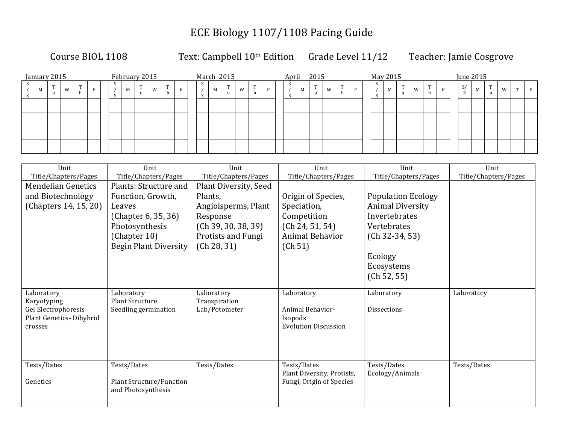# ECE Biology 1107/1108 Pacing Guide

Course BIOL 1108 Text: Campbell 10<sup>th</sup> Edition Grade Level 11/12 Teacher: Jamie Cosgrove

| January 2015 |   |  |  | February 2015 |   |   |   |  |   | March 2015 |   |   |  |  | April 2015 |                       |   |          |  | May 2015 |   |   |   |  |    | June 2015 |        |   |  |
|--------------|---|--|--|---------------|---|---|---|--|---|------------|---|---|--|--|------------|-----------------------|---|----------|--|----------|---|---|---|--|----|-----------|--------|---|--|
| M            | W |  |  | M             | m | W | m |  | 5 | M          | m | W |  |  | M          | <b>CONTINUES</b><br>u | W | m<br>-11 |  | M        | m | W | m |  | S/ | M         | m<br>u | W |  |
|              |   |  |  |               |   |   |   |  |   |            |   |   |  |  |            |                       |   |          |  |          |   |   |   |  |    |           |        |   |  |
|              |   |  |  |               |   |   |   |  |   |            |   |   |  |  |            |                       |   |          |  |          |   |   |   |  |    |           |        |   |  |
|              |   |  |  |               |   |   |   |  |   |            |   |   |  |  |            |                       |   |          |  |          |   |   |   |  |    |           |        |   |  |
|              |   |  |  |               |   |   |   |  |   |            |   |   |  |  |            |                       |   |          |  |          |   |   |   |  |    |           |        |   |  |

| Unit                               | Unit                                           | Unit                           | Unit                        | Unit                      | Unit                 |
|------------------------------------|------------------------------------------------|--------------------------------|-----------------------------|---------------------------|----------------------|
| Title/Chapters/Pages               | Title/Chapters/Pages                           | Title/Chapters/Pages           | Title/Chapters/Pages        | Title/Chapters/Pages      | Title/Chapters/Pages |
| <b>Mendelian Genetics</b>          | Plants: Structure and                          | <b>Plant Diversity, Seed</b>   |                             |                           |                      |
| and Biotechnology                  | Function, Growth,                              | Plants,                        | Origin of Species,          | <b>Population Ecology</b> |                      |
| (Chapters 14, 15, 20)              | Leaves                                         | Angioisperms, Plant            | Speciation,                 | <b>Animal Diversity</b>   |                      |
|                                    | (Chapter 6, 35, 36)                            | Response                       | Competition                 | Invertebrates             |                      |
|                                    | Photosynthesis                                 | (Ch 39, 30, 38, 39)            | (Ch 24, 51, 54)             | Vertebrates               |                      |
|                                    | (Chapter 10)                                   | <b>Protists and Fungi</b>      | Animal Behavior             | $(Ch 32-34, 53)$          |                      |
|                                    | <b>Begin Plant Diversity</b>                   | (Ch 28, 31)                    | (Ch 51)                     |                           |                      |
|                                    |                                                |                                |                             | Ecology                   |                      |
|                                    |                                                |                                |                             | Ecosystems                |                      |
|                                    |                                                |                                |                             | (Ch 52, 55)               |                      |
|                                    |                                                |                                |                             |                           |                      |
| Laboratory                         | Laboratory                                     | Laboratory                     | Laboratory                  | Laboratory                | Laboratory           |
| Karyotyping<br>Gel Electrophoresis | <b>Plant Structure</b><br>Seedling germination | Transpiration<br>Lab/Potometer | Animal Behavior-            | <b>Dissections</b>        |                      |
| Plant Genetics-Dihybrid            |                                                |                                | Isopods                     |                           |                      |
| crosses                            |                                                |                                | <b>Evolution Discussion</b> |                           |                      |
|                                    |                                                |                                |                             |                           |                      |
|                                    |                                                |                                |                             |                           |                      |
|                                    |                                                |                                |                             |                           |                      |
| Tests/Dates                        | Tests/Dates                                    | Tests/Dates                    | Tests/Dates                 | Tests/Dates               | Tests/Dates          |
|                                    |                                                |                                | Plant Diversity, Protists,  | Ecology/Animals           |                      |
| Genetics                           | <b>Plant Structure/Function</b>                |                                | Fungi, Origin of Species    |                           |                      |
|                                    | and Photosynthesis                             |                                |                             |                           |                      |
|                                    |                                                |                                |                             |                           |                      |